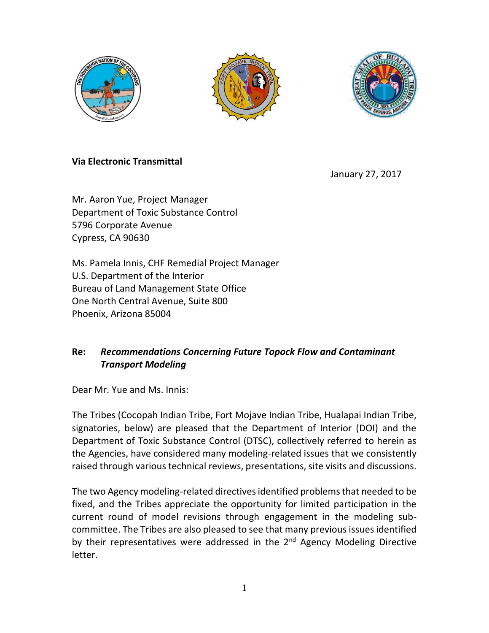





## **Via Electronic Transmittal**

January 27, 2017

Mr. Aaron Yue, Project Manager Department of Toxic Substance Control 5796 Corporate Avenue Cypress, CA 90630

Ms. Pamela Innis, CHF Remedial Project Manager U.S. Department of the Interior Bureau of Land Management State Office One North Central Avenue, Suite 800 Phoenix, Arizona 85004

## **Re:** *Recommendations Concerning Future Topock Flow and Contaminant Transport Modeling*

Dear Mr. Yue and Ms. Innis:

The Tribes (Cocopah Indian Tribe, Fort Mojave Indian Tribe, Hualapai Indian Tribe, signatories, below) are pleased that the Department of Interior (DOI) and the Department of Toxic Substance Control (DTSC), collectively referred to herein as the Agencies, have considered many modeling-related issues that we consistently raised through various technical reviews, presentations, site visits and discussions.

The two Agency modeling-related directives identified problems that needed to be fixed, and the Tribes appreciate the opportunity for limited participation in the current round of model revisions through engagement in the modeling subcommittee. The Tribes are also pleased to see that many previous issues identified by their representatives were addressed in the  $2<sup>nd</sup>$  Agency Modeling Directive letter.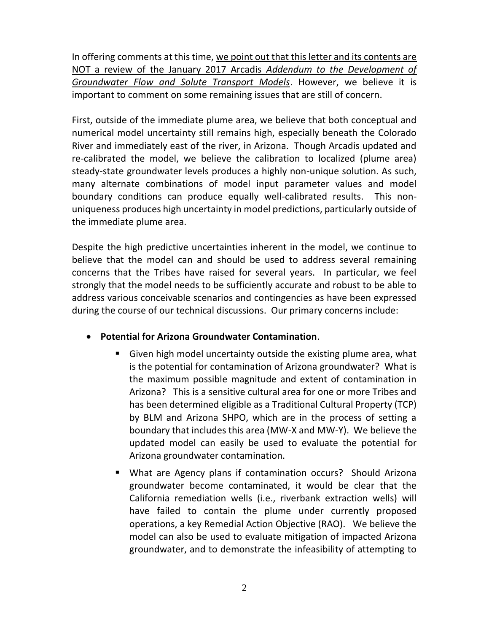In offering comments at this time, we point out that this letter and its contents are NOT a review of the January 2017 Arcadis *Addendum to the Development of Groundwater Flow and Solute Transport Models*. However, we believe it is important to comment on some remaining issues that are still of concern.

First, outside of the immediate plume area, we believe that both conceptual and numerical model uncertainty still remains high, especially beneath the Colorado River and immediately east of the river, in Arizona. Though Arcadis updated and re-calibrated the model, we believe the calibration to localized (plume area) steady-state groundwater levels produces a highly non-unique solution. As such, many alternate combinations of model input parameter values and model boundary conditions can produce equally well-calibrated results. This nonuniqueness produces high uncertainty in model predictions, particularly outside of the immediate plume area.

Despite the high predictive uncertainties inherent in the model, we continue to believe that the model can and should be used to address several remaining concerns that the Tribes have raised for several years. In particular, we feel strongly that the model needs to be sufficiently accurate and robust to be able to address various conceivable scenarios and contingencies as have been expressed during the course of our technical discussions. Our primary concerns include:

## **Potential for Arizona Groundwater Contamination**.

- Given high model uncertainty outside the existing plume area, what is the potential for contamination of Arizona groundwater? What is the maximum possible magnitude and extent of contamination in Arizona? This is a sensitive cultural area for one or more Tribes and has been determined eligible as a Traditional Cultural Property (TCP) by BLM and Arizona SHPO, which are in the process of setting a boundary that includes this area (MW-X and MW-Y). We believe the updated model can easily be used to evaluate the potential for Arizona groundwater contamination.
- What are Agency plans if contamination occurs? Should Arizona groundwater become contaminated, it would be clear that the California remediation wells (i.e., riverbank extraction wells) will have failed to contain the plume under currently proposed operations, a key Remedial Action Objective (RAO). We believe the model can also be used to evaluate mitigation of impacted Arizona groundwater, and to demonstrate the infeasibility of attempting to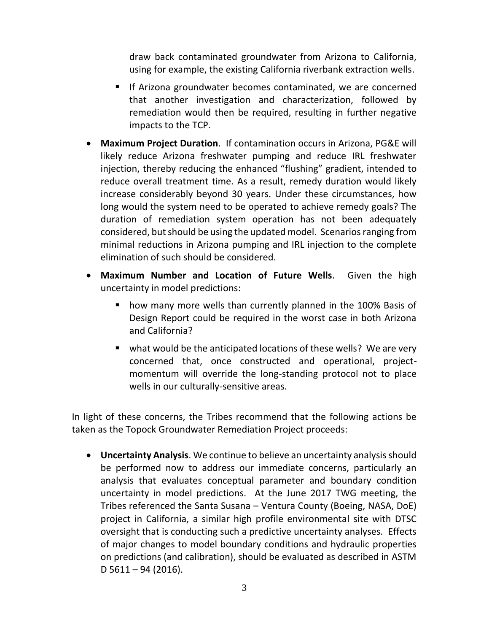draw back contaminated groundwater from Arizona to California, using for example, the existing California riverbank extraction wells.

- **If Arizona groundwater becomes contaminated, we are concerned** that another investigation and characterization, followed by remediation would then be required, resulting in further negative impacts to the TCP.
- **Maximum Project Duration**. If contamination occurs in Arizona, PG&E will likely reduce Arizona freshwater pumping and reduce IRL freshwater injection, thereby reducing the enhanced "flushing" gradient, intended to reduce overall treatment time. As a result, remedy duration would likely increase considerably beyond 30 years. Under these circumstances, how long would the system need to be operated to achieve remedy goals? The duration of remediation system operation has not been adequately considered, but should be using the updated model. Scenarios ranging from minimal reductions in Arizona pumping and IRL injection to the complete elimination of such should be considered.
- **Maximum Number and Location of Future Wells**. Given the high uncertainty in model predictions:
	- how many more wells than currently planned in the 100% Basis of Design Report could be required in the worst case in both Arizona and California?
	- what would be the anticipated locations of these wells? We are very concerned that, once constructed and operational, projectmomentum will override the long-standing protocol not to place wells in our culturally-sensitive areas.

In light of these concerns, the Tribes recommend that the following actions be taken as the Topock Groundwater Remediation Project proceeds:

 **Uncertainty Analysis**. We continue to believe an uncertainty analysis should be performed now to address our immediate concerns, particularly an analysis that evaluates conceptual parameter and boundary condition uncertainty in model predictions. At the June 2017 TWG meeting, the Tribes referenced the Santa Susana – Ventura County (Boeing, NASA, DoE) project in California, a similar high profile environmental site with DTSC oversight that is conducting such a predictive uncertainty analyses. Effects of major changes to model boundary conditions and hydraulic properties on predictions (and calibration), should be evaluated as described in ASTM D 5611 – 94 (2016).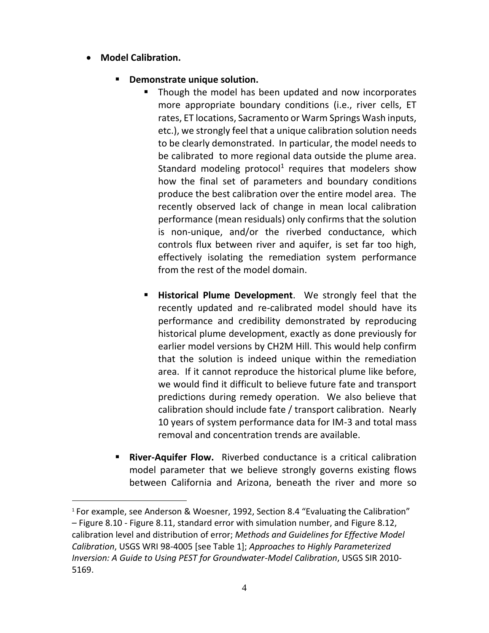## **Model Calibration.**

 $\overline{a}$ 

- **Demonstrate unique solution.** 
	- Though the model has been updated and now incorporates more appropriate boundary conditions (i.e., river cells, ET rates, ET locations, Sacramento or Warm Springs Wash inputs, etc.), we strongly feel that a unique calibration solution needs to be clearly demonstrated. In particular, the model needs to be calibrated to more regional data outside the plume area. Standard modeling protocol<sup>1</sup> requires that modelers show how the final set of parameters and boundary conditions produce the best calibration over the entire model area. The recently observed lack of change in mean local calibration performance (mean residuals) only confirms that the solution is non-unique, and/or the riverbed conductance, which controls flux between river and aquifer, is set far too high, effectively isolating the remediation system performance from the rest of the model domain.
	- **Historical Plume Development**. We strongly feel that the recently updated and re-calibrated model should have its performance and credibility demonstrated by reproducing historical plume development, exactly as done previously for earlier model versions by CH2M Hill. This would help confirm that the solution is indeed unique within the remediation area. If it cannot reproduce the historical plume like before, we would find it difficult to believe future fate and transport predictions during remedy operation. We also believe that calibration should include fate / transport calibration. Nearly 10 years of system performance data for IM-3 and total mass removal and concentration trends are available.
- **River-Aquifer Flow.** Riverbed conductance is a critical calibration model parameter that we believe strongly governs existing flows between California and Arizona, beneath the river and more so

<sup>&</sup>lt;sup>1</sup> For example, see Anderson & Woesner, 1992, Section 8.4 "Evaluating the Calibration" – Figure 8.10 - Figure 8.11, standard error with simulation number, and Figure 8.12, calibration level and distribution of error; *Methods and Guidelines for Effective Model Calibration*, USGS WRI 98-4005 [see Table 1]; *Approaches to Highly Parameterized Inversion: A Guide to Using PEST for Groundwater-Model Calibration*, USGS SIR 2010- 5169.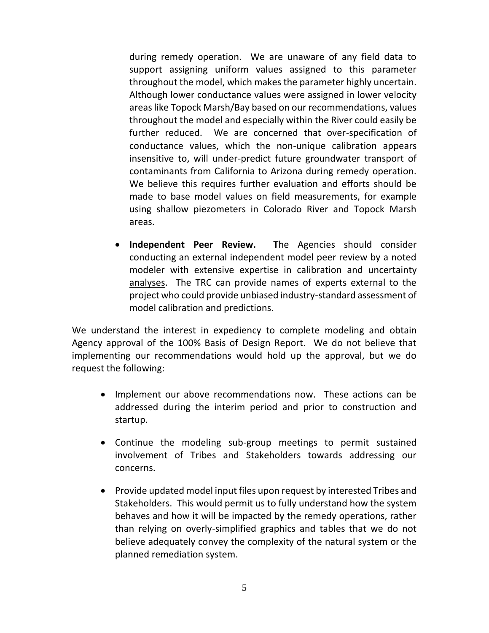during remedy operation. We are unaware of any field data to support assigning uniform values assigned to this parameter throughout the model, which makes the parameter highly uncertain. Although lower conductance values were assigned in lower velocity areas like Topock Marsh/Bay based on our recommendations, values throughout the model and especially within the River could easily be further reduced. We are concerned that over-specification of conductance values, which the non-unique calibration appears insensitive to, will under-predict future groundwater transport of contaminants from California to Arizona during remedy operation. We believe this requires further evaluation and efforts should be made to base model values on field measurements, for example using shallow piezometers in Colorado River and Topock Marsh areas.

 **Independent Peer Review. T**he Agencies should consider conducting an external independent model peer review by a noted modeler with extensive expertise in calibration and uncertainty analyses. The TRC can provide names of experts external to the project who could provide unbiased industry-standard assessment of model calibration and predictions.

We understand the interest in expediency to complete modeling and obtain Agency approval of the 100% Basis of Design Report. We do not believe that implementing our recommendations would hold up the approval, but we do request the following:

- Implement our above recommendations now. These actions can be addressed during the interim period and prior to construction and startup.
- Continue the modeling sub-group meetings to permit sustained involvement of Tribes and Stakeholders towards addressing our concerns.
- Provide updated model input files upon request by interested Tribes and Stakeholders. This would permit us to fully understand how the system behaves and how it will be impacted by the remedy operations, rather than relying on overly-simplified graphics and tables that we do not believe adequately convey the complexity of the natural system or the planned remediation system.